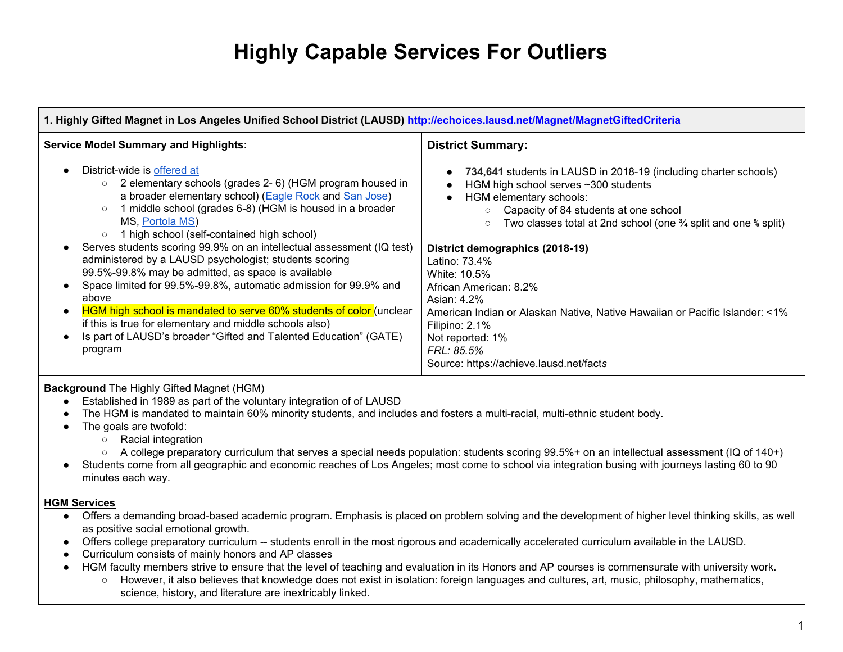# **Highly Capable Services For Outliers**

| 1. Highly Gifted Magnet in Los Angeles Unified School District (LAUSD) http://echoices.lausd.net/Magnet/MagnetGiftedCriteria                                                                                                                                                                                                                                                                                                                                                                                                                                                                                                                                                                                                                                                                            |                                                                                                                                                                                                                                                                                                                                                                                                                                                                                                                                                                                        |  |
|---------------------------------------------------------------------------------------------------------------------------------------------------------------------------------------------------------------------------------------------------------------------------------------------------------------------------------------------------------------------------------------------------------------------------------------------------------------------------------------------------------------------------------------------------------------------------------------------------------------------------------------------------------------------------------------------------------------------------------------------------------------------------------------------------------|----------------------------------------------------------------------------------------------------------------------------------------------------------------------------------------------------------------------------------------------------------------------------------------------------------------------------------------------------------------------------------------------------------------------------------------------------------------------------------------------------------------------------------------------------------------------------------------|--|
| <b>Service Model Summary and Highlights:</b>                                                                                                                                                                                                                                                                                                                                                                                                                                                                                                                                                                                                                                                                                                                                                            | <b>District Summary:</b>                                                                                                                                                                                                                                                                                                                                                                                                                                                                                                                                                               |  |
| District-wide is offered at<br>2 elementary schools (grades 2-6) (HGM program housed in<br>$\circ$<br>a broader elementary school) (Eagle Rock and San Jose)<br>1 middle school (grades 6-8) (HGM is housed in a broader<br>$\circ$<br>MS, Portola MS)<br>1 high school (self-contained high school)<br>$\circ$<br>Serves students scoring 99.9% on an intellectual assessment (IQ test)<br>administered by a LAUSD psychologist; students scoring<br>99.5%-99.8% may be admitted, as space is available<br>Space limited for 99.5%-99.8%, automatic admission for 99.9% and<br>above<br>HGM high school is mandated to serve 60% students of color (unclear<br>if this is true for elementary and middle schools also)<br>Is part of LAUSD's broader "Gifted and Talented Education" (GATE)<br>program | 734,641 students in LAUSD in 2018-19 (including charter schools)<br>HGM high school serves ~300 students<br>HGM elementary schools:<br>Capacity of 84 students at one school<br>$\circ$<br>Two classes total at 2nd school (one $\frac{3}{4}$ split and one $\frac{5}{8}$ split)<br>$\circ$<br>District demographics (2018-19)<br>Latino: 73.4%<br>White: 10.5%<br>African American: 8.2%<br>Asian: 4.2%<br>American Indian or Alaskan Native, Native Hawaiian or Pacific Islander: <1%<br>Filipino: 2.1%<br>Not reported: 1%<br>FRL: 85.5%<br>Source: https://achieve.lausd.net/facts |  |

### **Background** The Highly Gifted Magnet (HGM)

- Established in 1989 as part of the voluntary integration of of LAUSD
- The HGM is mandated to maintain 60% minority students, and includes and fosters a multi-racial, multi-ethnic student body.
- The goals are twofold:
	- Racial integration
	- A college preparatory curriculum that serves a special needs population: students scoring 99.5%+ on an intellectual assessment (IQ of 140+)
- ● Students come from all geographic and economic reaches of Los Angeles; most come to school via integration busing with journeys lasting 60 to 90 minutes each way.

### **HGM Services**

- Offers a demanding broad-based academic program. Emphasis is placed on problem solving and the development of higher level thinking skills, as well as positive social emotional growth.
- Offers college preparatory curriculum -- students enroll in the most rigorous and academically accelerated curriculum available in the LAUSD.
- Curriculum consists of mainly honors and AP classes
- HGM faculty members strive to ensure that the level of teaching and evaluation in its Honors and AP courses is commensurate with university work.
	- However, it also believes that knowledge does not exist in isolation: foreign languages and cultures, art, music, philosophy, mathematics, science, history, and literature are inextricably linked.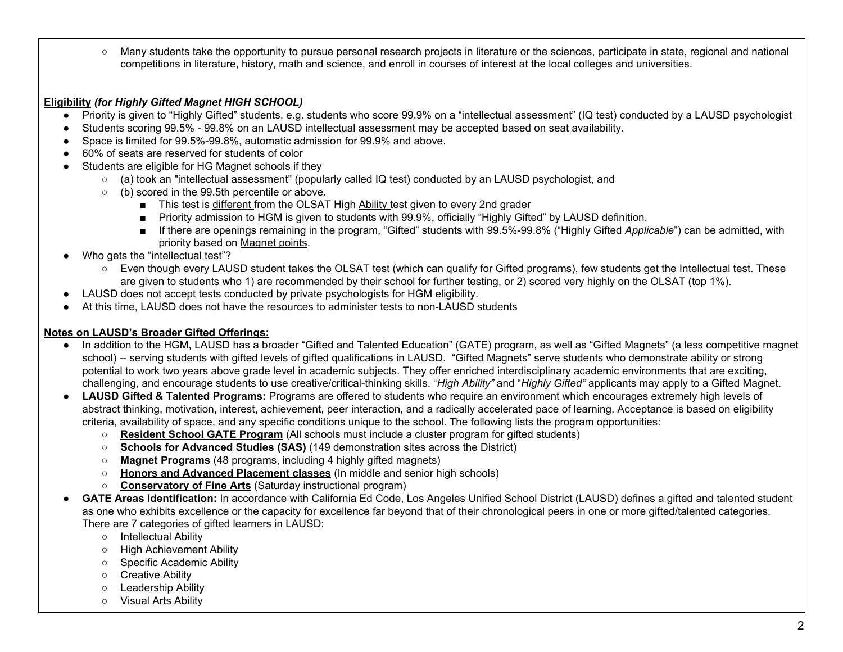○ Many students take the opportunity to pursue personal research projects in literature or the sciences, participate in state, regional and national competitions in literature, history, math and science, and enroll in courses of interest at the local colleges and universities.

## **Eligibility** *(for Highly Gifted Magnet HIGH SCHOOL)*

- Priority is given to "Highly Gifted" students, e.g. students who score 99.9% on a "intellectual assessment" (IQ test) conducted by a LAUSD psychologist
- Students scoring 99.5% 99.8% on an LAUSD intellectual assessment may be accepted based on seat availability.
- Space is limited for 99.5%-99.8%, automatic admission for 99.9% and above.
- 60% of seats are reserved for students of color
- ● Students are eligible for HG Magnet schools if they
	- (a) took an "<u>intellectual assessment</u>" (popularly called IQ test) conducted by an LAUSD psychologist, and
	- (b) scored in the 99.5th percentile or above.
		- This test is different from the OLSAT High Ability test given to every 2nd grader
		- Priority admission to HGM is given to students with 99.9%, officially "Highly Gifted" by LAUSD definition.
		- ■ If there are openings remaining in the program, "Gifted" students with 99.5%-99.8% ("Highly Gifted *Applicable*") can be admitted, with priority based on [Magnet](http://echoices.lausd.net/Magnet/MagnetPriority) points.
- ● Who gets the "intellectual test"?
	- Even though every LAUSD student takes the OLSAT test (which can qualify for Gifted programs), few students get the Intellectual test. These are given to students who 1) are recommended by their school for further testing, or 2) scored very highly on the OLSAT (top 1%).
- LAUSD does not accept tests conducted by private psychologists for HGM eligibility.
- At this time, LAUSD does not have the resources to administer tests to non-LAUSD students

## **Notes on LAUSD's Broader Gifted Offerings:**

- In addition to the HGM, LAUSD has a broader "Gifted and Talented Education" (GATE) program, as well as "Gifted Magnets" (a less competitive magnet school) -- serving students with gifted levels of gifted qualifications in LAUSD. "Gifted Magnets" serve students who demonstrate ability or strong potential to work two years above grade level in academic subjects. They offer enriched interdisciplinary academic environments that are exciting, challenging, and encourage students to use creative/critical-thinking skills. "*High Ability"* and "*Highly Gifted"* applicants may apply to a Gifted Magnet.
- ● **LAUSD Gifted & Talented [Programs:](https://achieve.lausd.net/gate)** Programs are offered to students who require an environment which encourages extremely high levels of abstract thinking, motivation, interest, achievement, peer interaction, and a radically accelerated pace of learning. Acceptance is based on eligibility criteria, availability of space, and any specific conditions unique to the school. The following lists the program opportunities:
	- **[Resident](https://achieve.lausd.net/Page/13731) School GATE Program** (All schools must include a cluster program for gifted students)
	- **Schools for [Advanced](https://achieve.lausd.net/Page/2024) Studies (SAS)** (149 demonstration sites across the District)
	- **Magnet [Programs](https://achieve.lausd.net/Page/2018)** (48 programs, including 4 highly gifted magnets)
	- **Honors and Advanced [Placement](https://achieve.lausd.net/Page/1405#spn-content) classes** (In middle and senior high schools)
	- **[Conservatory](https://achieve.lausd.net/Page/2046) of Fine Arts** (Saturday instructional program)
- **GATE Areas Identification:** In accordance with California Ed Code, Los Angeles Unified School District (LAUSD) defines a gifted and talented student as one who exhibits excellence or the capacity for excellence far beyond that of their chronological peers in one or more gifted/talented categories. There are 7 categories of gifted learners in LAUSD:
	- Intellectual Ability
	- High Achievement Ability
	- Specific Academic Ability
	- Creative Ability
	- Leadership Ability
	- Visual Arts Ability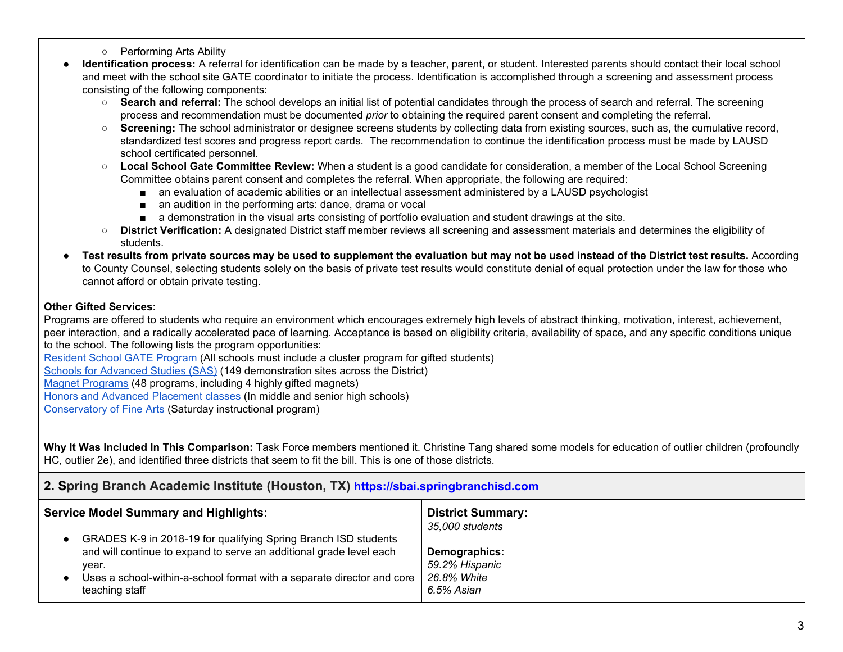- Performing Arts Ability
- **Identification process:** A referral for identification can be made by a teacher, parent, or student. Interested parents should contact their local school and meet with the school site GATE coordinator to initiate the process. Identification is accomplished through a screening and assessment process consisting of the following components:
	- **Search and referral:** The school develops an initial list of potential candidates through the process of search and referral. The screening process and recommendation must be documented *prior* to obtaining the required parent consent and completing the referral.
	- ○ **Screening:** The school administrator or designee screens students by collecting data from existing sources, such as, the cumulative record, standardized test scores and progress report cards. The recommendation to continue the identification process must be made by LAUSD school certificated personnel.
	- **Local School Gate Committee Review:** When a student is a good candidate for consideration, a member of the Local School Screening Committee obtains parent consent and completes the referral. When appropriate, the following are required:
		- an evaluation of academic abilities or an intellectual assessment administered by a LAUSD psychologist
		- an audition in the performing arts: dance, drama or vocal
		- a demonstration in the visual arts consisting of portfolio evaluation and student drawings at the site.
	- ○ **District Verification:** A designated District staff member reviews all screening and assessment materials and determines the eligibility of students.
- Test results from private sources may be used to supplement the evaluation but may not be used instead of the District test results. According to County Counsel, selecting students solely on the basis of private test results would constitute denial of equal protection under the law for those who cannot afford or obtain private testing.

## **Other Gifted Services**:

 Programs are offered to students who require an environment which encourages extremely high levels of abstract thinking, motivation, interest, achievement, peer interaction, and a radically accelerated pace of learning. Acceptance is based on eligibility criteria, availability of space, and any specific conditions unique to the school. The following lists the program opportunities:

[Resident](https://achieve.lausd.net/Page/13731) School GATE Program (All schools must include a cluster program for gifted students)

Schools for [Advanced](https://achieve.lausd.net/Page/2024) Studies (SAS) (149 demonstration sites across the District)

Magnet [Programs](https://achieve.lausd.net/Page/2018) (48 programs, including 4 highly gifted magnets)

Honors and Advanced [Placement](https://achieve.lausd.net/Page/1405#spn-content) classes (In middle and senior high schools)

[Conservatory](https://achieve.lausd.net/Page/2046) of Fine Arts (Saturday instructional program)

 **Why It Was Included In This Comparison:** Task Force members mentioned it. Christine Tang shared some models for education of outlier children (profoundly HC, outlier 2e), and identified three districts that seem to fit the bill. This is one of those districts.

## **2. Spring Branch Academic Institute (Houston, TX) https://sbai.springbranchisd.com**

| <b>Service Model Summary and Highlights:</b>                                                                                                                                                                                                | <b>District Summary:</b><br>35,000 students                  |
|---------------------------------------------------------------------------------------------------------------------------------------------------------------------------------------------------------------------------------------------|--------------------------------------------------------------|
| GRADES K-9 in 2018-19 for qualifying Spring Branch ISD students<br>and will continue to expand to serve an additional grade level each<br>year.<br>Uses a school-within-a-school format with a separate director and core<br>teaching staff | Demographics:<br>59.2% Hispanic<br>26.8% White<br>6.5% Asian |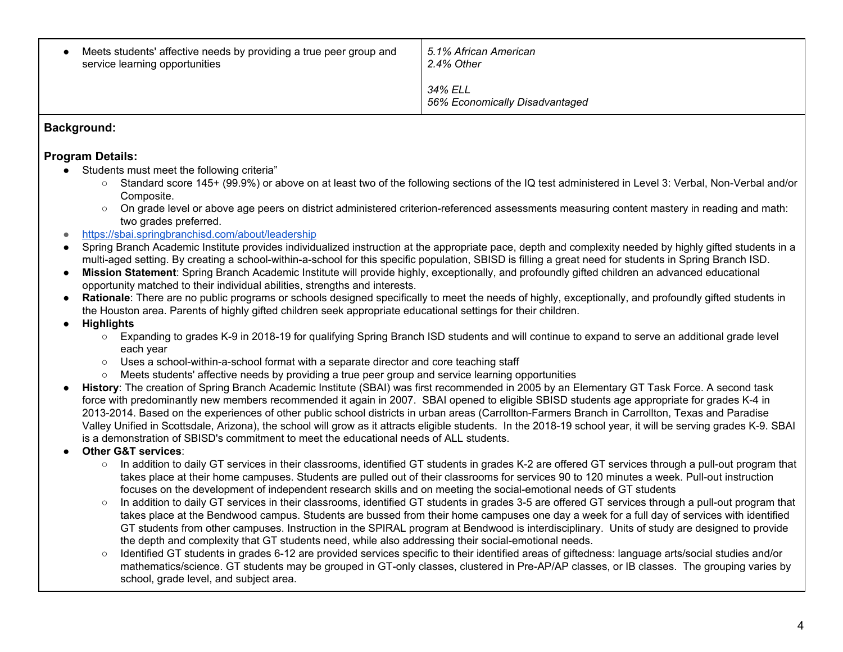| Meets students' affective needs by providing a true peer group and<br>service learning opportunities | 5.1% African American<br>2.4% Other       |
|------------------------------------------------------------------------------------------------------|-------------------------------------------|
|                                                                                                      | 34% ELL<br>56% Economically Disadvantaged |

## **Background:**

## **Program Details:**

- ● Students must meet the following criteria"
	- Standard score 145+ (99.9%) or above on at least two of the following sections of the IQ test administered in Level 3: Verbal, Non-Verbal and/or Composite.
	- On grade level or above age peers on district administered criterion-referenced assessments measuring content mastery in reading and math: two grades preferred.
- <https://sbai.springbranchisd.com/about/leadership>
- ● Spring Branch Academic Institute provides individualized instruction at the appropriate pace, depth and complexity needed by highly gifted students in a multi-aged setting. By creating a school-within-a-school for this specific population, SBISD is filling a great need for students in Spring Branch ISD.
- ● **Mission Statement**: Spring Branch Academic Institute will provide highly, exceptionally, and profoundly gifted children an advanced educational opportunity matched to their individual abilities, strengths and interests.
- ● **Rationale**: There are no public programs or schools designed specifically to meet the needs of highly, exceptionally, and profoundly gifted students in the Houston area. Parents of highly gifted children seek appropriate educational settings for their children.
- **● Highlights**
	- Expanding to grades K-9 in 2018-19 for qualifying Spring Branch ISD students and will continue to expand to serve an additional grade level each year
	- Uses a school-within-a-school format with a separate director and core teaching staff
	- Meets students' affective needs by providing a true peer group and service learning opportunities
- ● **History**: The creation of Spring Branch Academic Institute (SBAI) was first recommended in 2005 by an Elementary GT Task Force. A second task force with predominantly new members recommended it again in 2007. SBAI opened to eligible SBISD students age appropriate for grades K-4 in 2013-2014. Based on the experiences of other public school districts in urban areas (Carrollton-Farmers Branch in Carrollton, Texas and Paradise Valley Unified in Scottsdale, Arizona), the school will grow as it attracts eligible students. In the 2018-19 school year, it will be serving grades K-9. SBAI is a demonstration of SBISD's commitment to meet the educational needs of ALL students.
- **Other G&T services**:
	- $\circ$  In addition to daily GT services in their classrooms, identified GT students in grades K-2 are offered GT services through a pull-out program that takes place at their home campuses. Students are pulled out of their classrooms for services 90 to 120 minutes a week. Pull-out instruction focuses on the development of independent research skills and on meeting the social-emotional needs of GT students
	- $\circ$  In addition to daily GT services in their classrooms, identified GT students in grades 3-5 are offered GT services through a pull-out program that takes place at the Bendwood campus. Students are bussed from their home campuses one day a week for a full day of services with identified GT students from other campuses. Instruction in the SPIRAL program at Bendwood is interdisciplinary. Units of study are designed to provide the depth and complexity that GT students need, while also addressing their social-emotional needs.
	- ○ Identified GT students in grades 6-12 are provided services specific to their identified areas of giftedness: language arts/social studies and/or mathematics/science. GT students may be grouped in GT-only classes, clustered in Pre-AP/AP classes, or IB classes. The grouping varies by school, grade level, and subject area.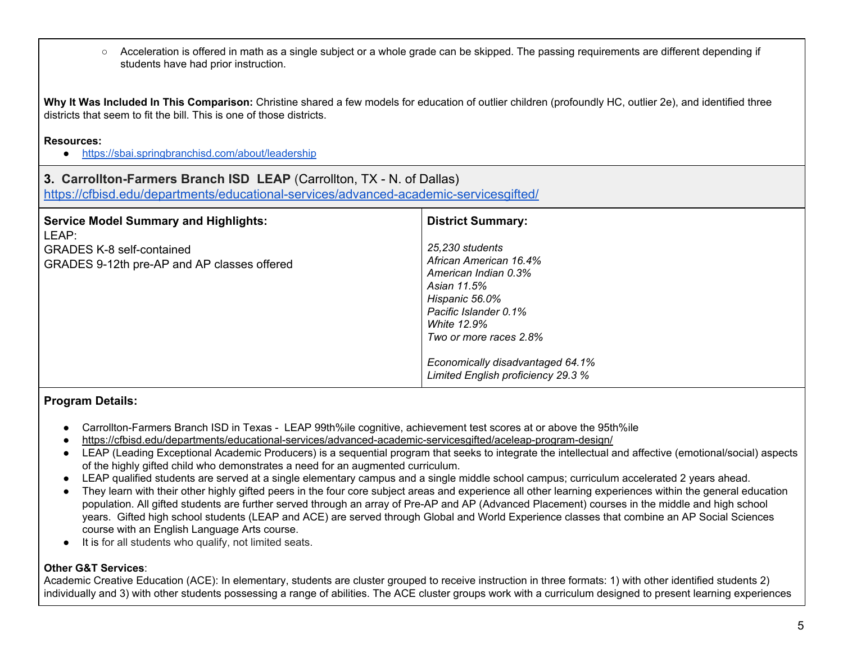○ Acceleration is offered in math as a single subject or a whole grade can be skipped. The passing requirements are different depending if students have had prior instruction.

 **Why It Was Included In This Comparison:** Christine shared a few models for education of outlier children (profoundly HC, outlier 2e), and identified three districts that seem to fit the bill. This is one of those districts.

## **Resources:**

● <https://sbai.springbranchisd.com/about/leadership>

## **3. Carrollton-Farmers Branch ISD LEAP** (Carrollton, TX - N. of Dallas)

<https://cfbisd.edu/departments/educational-services/advanced-academic-servicesgifted/>

| <b>Service Model Summary and Highlights:</b><br>LEAP:                           | <b>District Summary:</b>                                                                                                                                                                                                                              |
|---------------------------------------------------------------------------------|-------------------------------------------------------------------------------------------------------------------------------------------------------------------------------------------------------------------------------------------------------|
| <b>GRADES K-8 self-contained</b><br>GRADES 9-12th pre-AP and AP classes offered | 25,230 students<br>African American 16.4%<br>American Indian 0.3%<br>Asian 11.5%<br>Hispanic 56.0%<br>Pacific Islander 0.1%<br><b>White 12.9%</b><br>Two or more races 2.8%<br>Economically disadvantaged 64.1%<br>Limited English proficiency 29.3 % |

## **Program Details:**

- Carrollton-Farmers Branch ISD in Texas LEAP 99th%ile cognitive, achievement test scores at or above the 95th%ile
- <https://cfbisd.edu/departments/educational-services/advanced-academic-servicesgifted/aceleap-program-design/>
- LEAP (Leading Exceptional Academic Producers) is a sequential program that seeks to integrate the intellectual and affective (emotional/social) aspects of the highly gifted child who demonstrates a need for an augmented curriculum.
- LEAP qualified students are served at a single elementary campus and a single middle school campus; curriculum accelerated 2 years ahead.
- ● They learn with their other highly gifted peers in the four core subject areas and experience all other learning experiences within the general education population. All gifted students are further served through an array of Pre-AP and AP (Advanced Placement) courses in the middle and high school years. Gifted high school students (LEAP and ACE) are served through Global and World Experience classes that combine an AP Social Sciences course with an English Language Arts course.
- It is for all students who qualify, not limited seats.

## **Other G&T Services**:

 Academic Creative Education (ACE): In elementary, students are cluster grouped to receive instruction in three formats: 1) with other identified students 2) individually and 3) with other students possessing a range of abilities. The ACE cluster groups work with a curriculum designed to present learning experiences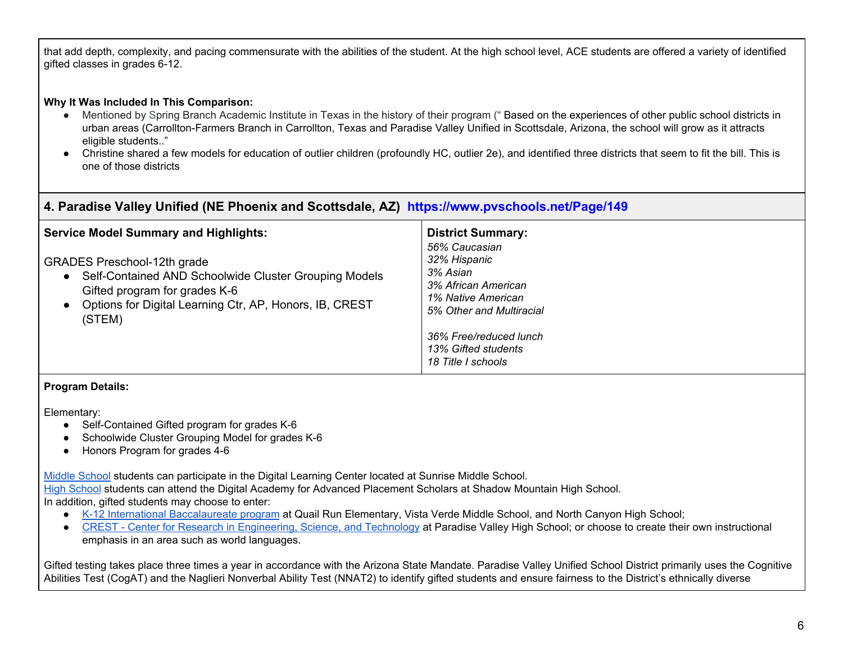that add depth, complexity, and pacing commensurate with the abilities of the student. At the high school level, ACE students are offered a variety of identified gifted classes in grades 6-12.

#### **Why It Was Included In This Comparison:**

- Mentioned by Spring Branch Academic Institute in Texas in the history of their program ("Based on the experiences of other public school districts in urban areas (Carrollton-Farmers Branch in Carrollton, Texas and Paradise Valley Unified in Scottsdale, Arizona, the school will grow as it attracts eligible students.."
- ● Christine shared a few models for education of outlier children (profoundly HC, outlier 2e), and identified three districts that seem to fit the bill. This is one of those districts

## **4. Paradise Valley Unified (NE Phoenix and Scottsdale, AZ) https://www.pvschools.net/Page/149**

| <b>Service Model Summary and Highlights:</b>                                                                                                                                                                     | <b>District Summary:</b><br>56% Caucasian                                                         |
|------------------------------------------------------------------------------------------------------------------------------------------------------------------------------------------------------------------|---------------------------------------------------------------------------------------------------|
| <b>GRADES Preschool-12th grade</b><br>Self-Contained AND Schoolwide Cluster Grouping Models<br>$\bullet$<br>Gifted program for grades K-6<br>• Options for Digital Learning Ctr, AP, Honors, IB, CREST<br>(STEM) | 32% Hispanic<br>3% Asian<br>3% African American<br>1% Native American<br>5% Other and Multiracial |
|                                                                                                                                                                                                                  | 36% Free/reduced lunch<br>13% Gifted students<br>18 Title I schools                               |

### **Program Details:**

Elementary:

- Self-Contained Gifted program for grades K-6
- Schoolwide Cluster Grouping Model for grades K-6
- Honors Program for grades 4-6

Middle [School](https://www.pvschools.net//site/Default.aspx?PageID=144) students can participate in the Digital Learning Center located at Sunrise Middle School. High [School](https://www.pvschools.net//site/Default.aspx?PageID=145) students can attend the Digital Academy for Advanced Placement Scholars at Shadow Mountain High School. In addition, gifted students may choose to enter:

- K-12 International [Baccalaureate](https://www.pvschools.net/Page/5514) program at Quail Run Elementary, Vista Verde Middle School, and North Canyon High School;
- CREST Center for Research in [Engineering,](https://www.pvschools.net/site/Default.aspx?PageID=3824) Science, and Technology at Paradise Valley High School; or choose to create their own instructional emphasis in an area such as world languages.

 Gifted testing takes place three times a year in accordance with the Arizona State Mandate. Paradise Valley Unified School District primarily uses the Cognitive Abilities Test (CogAT) and the Naglieri Nonverbal Ability Test (NNAT2) to identify gifted students and ensure fairness to the District's ethnically diverse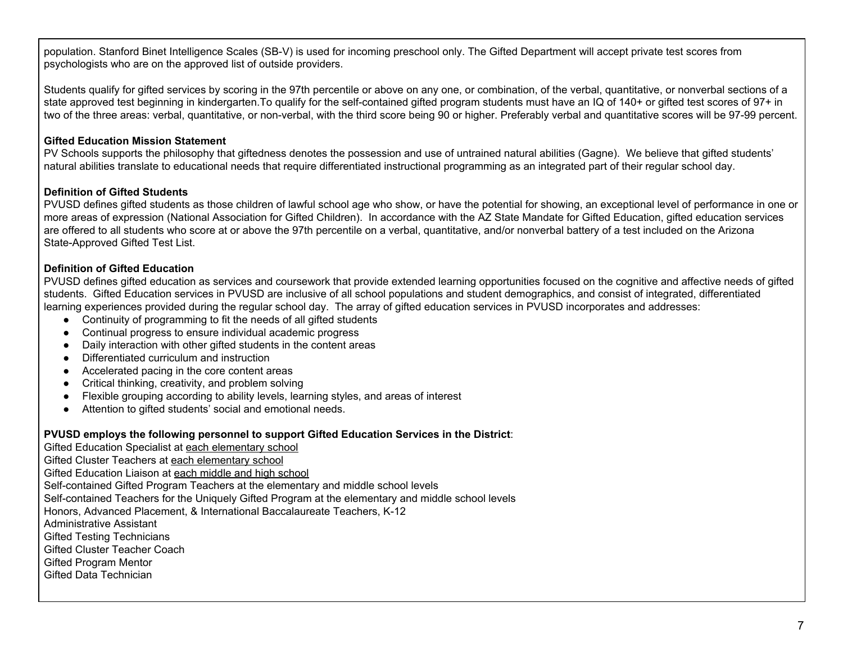population. Stanford Binet Intelligence Scales (SB-V) is used for incoming preschool only. The Gifted Department will accept private test scores from psychologists who are on the approved list of outside providers.

 Students qualify for gifted services by scoring in the 97th percentile or above on any one, or combination, of the verbal, quantitative, or nonverbal sections of a state approved test beginning in [kindergarten.To](https://kindergarten.To) qualify for the self-contained gifted program students must have an IQ of 140+ or gifted test scores of 97+ in two of the three areas: verbal, quantitative, or non-verbal, with the third score being 90 or higher. Preferably verbal and quantitative scores will be 97-99 percent.

### **Gifted Education Mission Statement**

 PV Schools supports the philosophy that giftedness denotes the possession and use of untrained natural abilities (Gagne). We believe that gifted students' natural abilities translate to educational needs that require differentiated instructional programming as an integrated part of their regular school day.

#### **Definition of Gifted Students**

 PVUSD defines gifted students as those children of lawful school age who show, or have the potential for showing, an exceptional level of performance in one or more areas of expression (National Association for Gifted Children). In accordance with the AZ State Mandate for Gifted Education, gifted education services are offered to all students who score at or above the 97th percentile on a verbal, quantitative, and/or nonverbal battery of a test included on the Arizona State-Approved Gifted Test List.

## **Definition of Gifted Education**

 PVUSD defines gifted education as services and coursework that provide extended learning opportunities focused on the cognitive and affective needs of gifted students. Gifted Education services in PVUSD are inclusive of all school populations and student demographics, and consist of integrated, differentiated learning experiences provided during the regular school day. The array of gifted education services in PVUSD incorporates and addresses:

- Continuity of programming to fit the needs of all gifted students
- Continual progress to ensure individual academic progress
- Daily interaction with other gifted students in the content areas
- Differentiated curriculum and instruction
- Accelerated pacing in the core content areas
- Critical thinking, creativity, and problem solving
- Flexible grouping according to ability levels, learning styles, and areas of interest
- Attention to gifted students' social and emotional needs.

#### **PVUSD employs the following personnel to support Gifted Education Services in the District**:

Gifted Education Specialist at each elementary school Gifted Cluster Teachers at each elementary school Gifted Education Liaison at each middle and high school Self-contained Gifted Program Teachers at the elementary and middle school levels Self-contained Teachers for the Uniquely Gifted Program at the elementary and middle school levels Honors, Advanced Placement, & International Baccalaureate Teachers, K-12 Gifted Testing Technicians Gifted Cluster Teacher Coach Gifted Program Mentor Gifted Data Technician Administrative Assistant